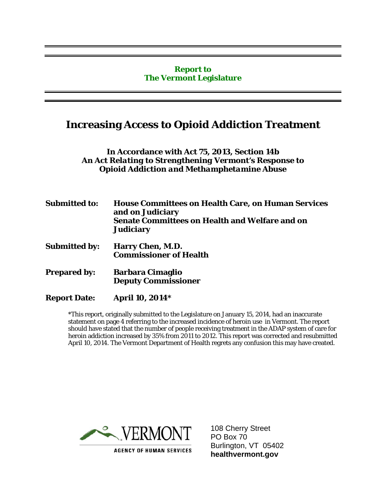#### **Report to The Vermont Legislature**

### **Increasing Access to Opioid Addiction Treatment**

**In Accordance with Act 75, 2013, Section 14b**  *An Act Relating to Strengthening Vermont's Response to Opioid Addiction and Methamphetamine Abuse*

| <b>Submitted to:</b> | <b>House Committees on Health Care, on Human Services</b><br>and on Judiciary<br><b>Senate Committees on Health and Welfare and on</b><br><b>Judiciary</b> |
|----------------------|------------------------------------------------------------------------------------------------------------------------------------------------------------|
|                      | <b>Submitted by:</b> Harry Chen, M.D.                                                                                                                      |

 **Commissioner of Health** 

- **Prepared by: Barbara Cimaglio Deputy Commissioner**
- **Report Date: April 10, 2014\***

\*This report, originally submitted to the Legislature on January 15, 2014, had an inaccurate statement on page 4 referring to the increased incidence of heroin use in Vermont. The report should have stated that the number of people receiving treatment in the ADAP system of care for heroin addiction increased by 35% from 2011 to 2012. This report was corrected and resubmitted April 10, 2014. The Vermont Department of Health regrets any confusion this may have created.



108 Cherry Street PO Box 70 Burlington, VT 05402 **healthvermont.gov**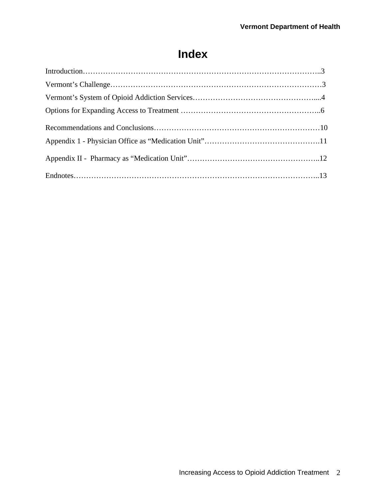# **Index**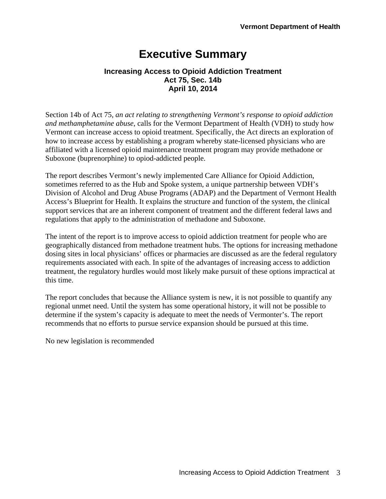# **Executive Summary**

### **Increasing Access to Opioid Addiction Treatment Act 75, Sec. 14b April 10, 2014**

Section 14b of Act 75*, an act relating to strengthening Vermont's response to opioid addiction and methamphetamine abuse*, calls for the Vermont Department of Health (VDH) to study how Vermont can increase access to opioid treatment. Specifically, the Act directs an exploration of how to increase access by establishing a program whereby state-licensed physicians who are affiliated with a licensed opioid maintenance treatment program may provide methadone or Suboxone (buprenorphine) to opiod-addicted people.

The report describes Vermont's newly implemented Care Alliance for Opioid Addiction, sometimes referred to as the Hub and Spoke system, a unique partnership between VDH's Division of Alcohol and Drug Abuse Programs (ADAP) and the Department of Vermont Health Access's Blueprint for Health. It explains the structure and function of the system, the clinical support services that are an inherent component of treatment and the different federal laws and regulations that apply to the administration of methadone and Suboxone.

The intent of the report is to improve access to opioid addiction treatment for people who are geographically distanced from methadone treatment hubs. The options for increasing methadone dosing sites in local physicians' offices or pharmacies are discussed as are the federal regulatory requirements associated with each. In spite of the advantages of increasing access to addiction treatment, the regulatory hurdles would most likely make pursuit of these options impractical at this time.

The report concludes that because the Alliance system is new, it is not possible to quantify any regional unmet need. Until the system has some operational history, it will not be possible to determine if the system's capacity is adequate to meet the needs of Vermonter's. The report recommends that no efforts to pursue service expansion should be pursued at this time.

No new legislation is recommended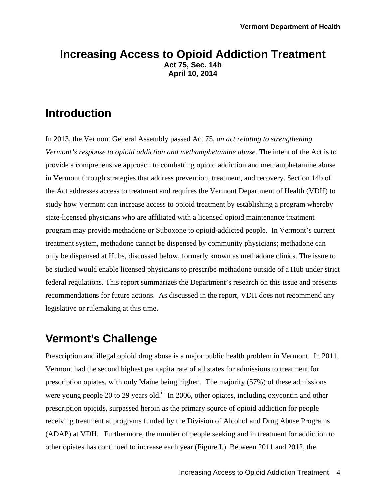### **Increasing Access to Opioid Addiction Treatment Act 75, Sec. 14b April 10, 2014**

## **Introduction**

In 2013, the Vermont General Assembly passed Act 75, *an act relating to strengthening Vermont's response to opioid addiction and methamphetamine abuse.* The intent of the Act is to provide a comprehensive approach to combatting opioid addiction and methamphetamine abuse in Vermont through strategies that address prevention, treatment, and recovery. Section 14b of the Act addresses access to treatment and requires the Vermont Department of Health (VDH) to study how Vermont can increase access to opioid treatment by establishing a program whereby state-licensed physicians who are affiliated with a licensed opioid maintenance treatment program may provide methadone or Suboxone to opioid-addicted people. In Vermont's current treatment system, methadone cannot be dispensed by community physicians; methadone can only be dispensed at Hubs, discussed below, formerly known as methadone clinics. The issue to be studied would enable licensed physicians to prescribe methadone outside of a Hub under strict federal regulations. This report summarizes the Department's research on this issue and presents recommendations for future actions. As discussed in the report, VDH does not recommend any legislative or rulemaking at this time.

## **Vermont's Challenge**

Prescription and illegal opioid drug abuse is a major public health problem in Vermont. In 2011, Vermont had the second highest per capita rate of all states for admissions to treatment for prescription opiates, with only Maine being higher<sup>i</sup>. The majority  $(57%)$  of these admissions were young people 20 to 29 years old.<sup>ii</sup> In 2006, other opiates, including oxycontin and other prescription opioids, surpassed heroin as the primary source of opioid addiction for people receiving treatment at programs funded by the Division of Alcohol and Drug Abuse Programs (ADAP) at VDH. Furthermore, the number of people seeking and in treatment for addiction to other opiates has continued to increase each year (Figure I.). Between 2011 and 2012, the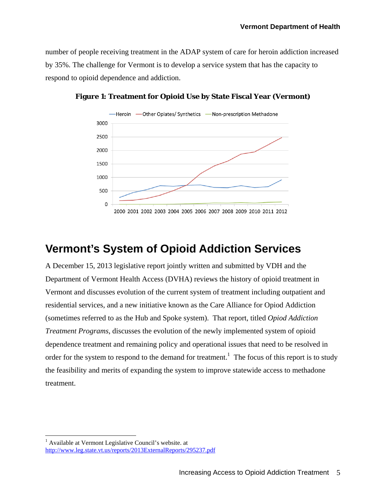number of people receiving treatment in the ADAP system of care for heroin addiction increased by 35%. The challenge for Vermont is to develop a service system that has the capacity to respond to opioid dependence and addiction.



**Figure 1: Treatment for Opioid Use by State Fiscal Year (Vermont)** 

### **Vermont's System of Opioid Addiction Services**

A December 15, 2013 legislative report jointly written and submitted by VDH and the Department of Vermont Health Access (DVHA) reviews the history of opioid treatment in Vermont and discusses evolution of the current system of treatment including outpatient and residential services, and a new initiative known as the Care Alliance for Opiod Addiction (sometimes referred to as the Hub and Spoke system). That report, titled *Opiod Addiction Treatment Programs*, discusses the evolution of the newly implemented system of opioid dependence treatment and remaining policy and operational issues that need to be resolved in order for the system to respond to the demand for treatment.<sup>1</sup> The focus of this report is to study the feasibility and merits of expanding the system to improve statewide access to methadone treatment.

<u>.</u>

<sup>&</sup>lt;sup>1</sup> Available at Vermont Legislative Council's website. at http://www.leg.state.vt.us/reports/2013ExternalReports/295237.pdf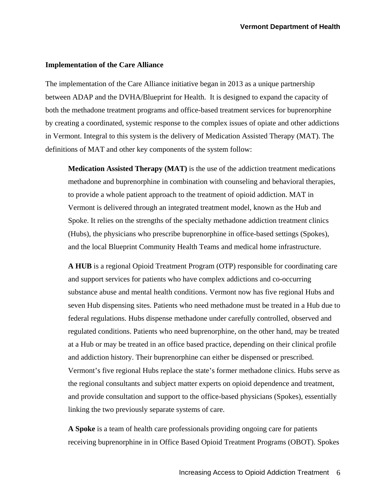#### **Implementation of the Care Alliance**

The implementation of the Care Alliance initiative began in 2013 as a unique partnership between ADAP and the DVHA/Blueprint for Health. It is designed to expand the capacity of both the methadone treatment programs and office-based treatment services for buprenorphine by creating a coordinated, systemic response to the complex issues of opiate and other addictions in Vermont. Integral to this system is the delivery of Medication Assisted Therapy (MAT). The definitions of MAT and other key components of the system follow:

**Medication Assisted Therapy (MAT)** is the use of the addiction treatment medications methadone and buprenorphine in combination with counseling and behavioral therapies, to provide a whole patient approach to the treatment of opioid addiction. MAT in Vermont is delivered through an integrated treatment model, known as the Hub and Spoke. It relies on the strengths of the specialty methadone addiction treatment clinics (Hubs), the physicians who prescribe buprenorphine in office-based settings (Spokes), and the local Blueprint Community Health Teams and medical home infrastructure.

**A HUB** is a regional Opioid Treatment Program (OTP) responsible for coordinating care and support services for patients who have complex addictions and co-occurring substance abuse and mental health conditions. Vermont now has five regional Hubs and seven Hub dispensing sites. Patients who need methadone must be treated in a Hub due to federal regulations. Hubs dispense methadone under carefully controlled, observed and regulated conditions. Patients who need buprenorphine, on the other hand, may be treated at a Hub or may be treated in an office based practice, depending on their clinical profile and addiction history. Their buprenorphine can either be dispensed or prescribed. Vermont's five regional Hubs replace the state's former methadone clinics. Hubs serve as the regional consultants and subject matter experts on opioid dependence and treatment, and provide consultation and support to the office-based physicians (Spokes), essentially linking the two previously separate systems of care.

**A Spoke** is a team of health care professionals providing ongoing care for patients receiving buprenorphine in in Office Based Opioid Treatment Programs (OBOT). Spokes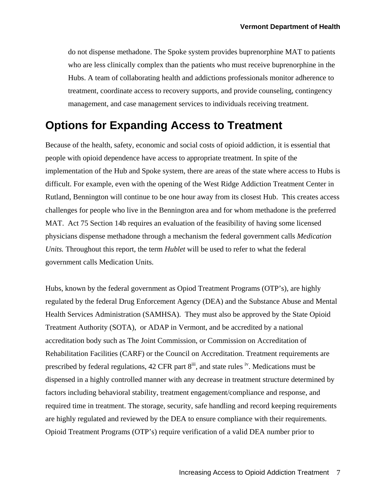do not dispense methadone. The Spoke system provides buprenorphine MAT to patients who are less clinically complex than the patients who must receive buprenorphine in the Hubs. A team of collaborating health and addictions professionals monitor adherence to treatment, coordinate access to recovery supports, and provide counseling, contingency management, and case management services to individuals receiving treatment.

### **Options for Expanding Access to Treatment**

Because of the health, safety, economic and social costs of opioid addiction, it is essential that people with opioid dependence have access to appropriate treatment. In spite of the implementation of the Hub and Spoke system, there are areas of the state where access to Hubs is difficult. For example, even with the opening of the West Ridge Addiction Treatment Center in Rutland, Bennington will continue to be one hour away from its closest Hub. This creates access challenges for people who live in the Bennington area and for whom methadone is the preferred MAT. Act 75 Section 14b requires an evaluation of the feasibility of having some licensed physicians dispense methadone through a mechanism the federal government calls *Medication Units.* Throughout this report, the term *Hublet* will be used to refer to what the federal government calls Medication Units.

Hubs, known by the federal government as Opiod Treatment Programs (OTP's), are highly regulated by the federal Drug Enforcement Agency (DEA) and the Substance Abuse and Mental Health Services Administration (SAMHSA). They must also be approved by the State Opioid Treatment Authority (SOTA), or ADAP in Vermont, and be accredited by a national accreditation body such as The Joint Commission, or Commission on Accreditation of Rehabilitation Facilities (CARF) or the Council on Accreditation. Treatment requirements are prescribed by federal regulations,  $42$  CFR part  $8^{\text{iii}}$ , and state rules <sup>iv</sup>. Medications must be dispensed in a highly controlled manner with any decrease in treatment structure determined by factors including behavioral stability, treatment engagement/compliance and response, and required time in treatment. The storage, security, safe handling and record keeping requirements are highly regulated and reviewed by the DEA to ensure compliance with their requirements. Opioid Treatment Programs (OTP's) require verification of a valid DEA number prior to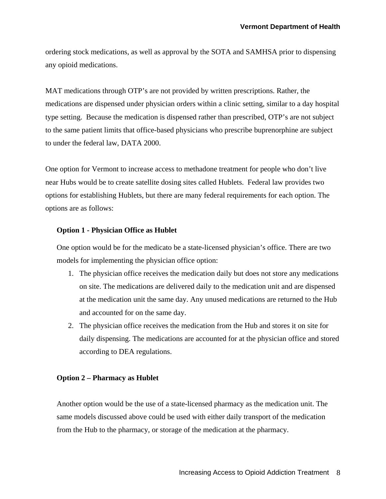ordering stock medications, as well as approval by the SOTA and SAMHSA prior to dispensing any opioid medications.

MAT medications through OTP's are not provided by written prescriptions. Rather, the medications are dispensed under physician orders within a clinic setting, similar to a day hospital type setting. Because the medication is dispensed rather than prescribed, OTP's are not subject to the same patient limits that office-based physicians who prescribe buprenorphine are subject to under the federal law, DATA 2000.

One option for Vermont to increase access to methadone treatment for people who don't live near Hubs would be to create satellite dosing sites called Hublets. Federal law provides two options for establishing Hublets, but there are many federal requirements for each option. The options are as follows:

#### **Option 1 - Physician Office as Hublet**

One option would be for the medicato be a state-licensed physician's office. There are two models for implementing the physician office option:

- 1. The physician office receives the medication daily but does not store any medications on site. The medications are delivered daily to the medication unit and are dispensed at the medication unit the same day. Any unused medications are returned to the Hub and accounted for on the same day.
- 2. The physician office receives the medication from the Hub and stores it on site for daily dispensing. The medications are accounted for at the physician office and stored according to DEA regulations.

#### **Option 2 – Pharmacy as Hublet**

Another option would be the use of a state-licensed pharmacy as the medication unit. The same models discussed above could be used with either daily transport of the medication from the Hub to the pharmacy, or storage of the medication at the pharmacy.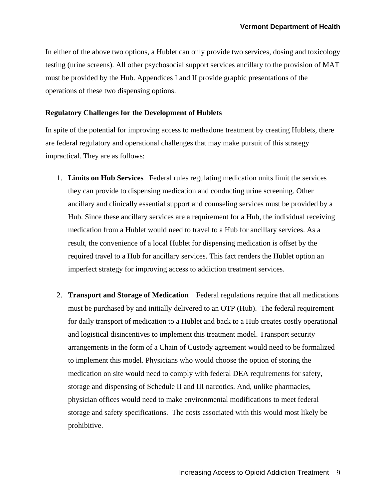In either of the above two options, a Hublet can only provide two services, dosing and toxicology testing (urine screens). All other psychosocial support services ancillary to the provision of MAT must be provided by the Hub. Appendices I and II provide graphic presentations of the operations of these two dispensing options.

#### **Regulatory Challenges for the Development of Hublets**

In spite of the potential for improving access to methadone treatment by creating Hublets, there are federal regulatory and operational challenges that may make pursuit of this strategy impractical. They are as follows:

- 1. **Limits on Hub Services** Federal rules regulating medication units limit the services they can provide to dispensing medication and conducting urine screening. Other ancillary and clinically essential support and counseling services must be provided by a Hub. Since these ancillary services are a requirement for a Hub, the individual receiving medication from a Hublet would need to travel to a Hub for ancillary services. As a result, the convenience of a local Hublet for dispensing medication is offset by the required travel to a Hub for ancillary services. This fact renders the Hublet option an imperfect strategy for improving access to addiction treatment services.
- 2. **Transport and Storage of Medication** Federal regulations require that all medications must be purchased by and initially delivered to an OTP (Hub). The federal requirement for daily transport of medication to a Hublet and back to a Hub creates costly operational and logistical disincentives to implement this treatment model. Transport security arrangements in the form of a Chain of Custody agreement would need to be formalized to implement this model. Physicians who would choose the option of storing the medication on site would need to comply with federal DEA requirements for safety, storage and dispensing of Schedule II and III narcotics. And, unlike pharmacies, physician offices would need to make environmental modifications to meet federal storage and safety specifications. The costs associated with this would most likely be prohibitive.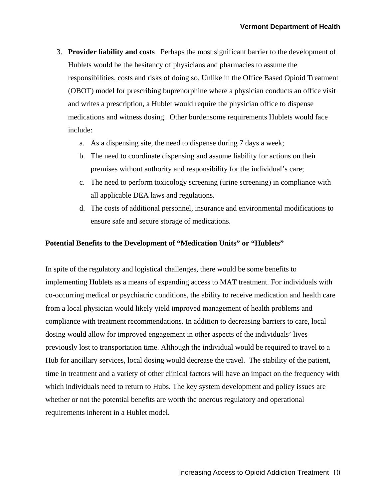- 3. **Provider liability and costs** Perhaps the most significant barrier to the development of Hublets would be the hesitancy of physicians and pharmacies to assume the responsibilities, costs and risks of doing so. Unlike in the Office Based Opioid Treatment (OBOT) model for prescribing buprenorphine where a physician conducts an office visit and writes a prescription, a Hublet would require the physician office to dispense medications and witness dosing. Other burdensome requirements Hublets would face include:
	- a. As a dispensing site, the need to dispense during 7 days a week;
	- b. The need to coordinate dispensing and assume liability for actions on their premises without authority and responsibility for the individual's care;
	- c. The need to perform toxicology screening (urine screening) in compliance with all applicable DEA laws and regulations.
	- d. The costs of additional personnel, insurance and environmental modifications to ensure safe and secure storage of medications.

#### **Potential Benefits to the Development of "Medication Units" or "Hublets"**

In spite of the regulatory and logistical challenges, there would be some benefits to implementing Hublets as a means of expanding access to MAT treatment. For individuals with co-occurring medical or psychiatric conditions, the ability to receive medication and health care from a local physician would likely yield improved management of health problems and compliance with treatment recommendations. In addition to decreasing barriers to care, local dosing would allow for improved engagement in other aspects of the individuals' lives previously lost to transportation time. Although the individual would be required to travel to a Hub for ancillary services, local dosing would decrease the travel. The stability of the patient, time in treatment and a variety of other clinical factors will have an impact on the frequency with which individuals need to return to Hubs. The key system development and policy issues are whether or not the potential benefits are worth the onerous regulatory and operational requirements inherent in a Hublet model.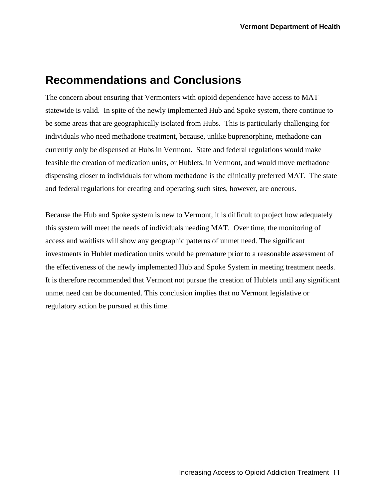## **Recommendations and Conclusions**

The concern about ensuring that Vermonters with opioid dependence have access to MAT statewide is valid. In spite of the newly implemented Hub and Spoke system, there continue to be some areas that are geographically isolated from Hubs. This is particularly challenging for individuals who need methadone treatment, because, unlike buprenorphine, methadone can currently only be dispensed at Hubs in Vermont. State and federal regulations would make feasible the creation of medication units, or Hublets, in Vermont, and would move methadone dispensing closer to individuals for whom methadone is the clinically preferred MAT. The state and federal regulations for creating and operating such sites, however, are onerous.

Because the Hub and Spoke system is new to Vermont, it is difficult to project how adequately this system will meet the needs of individuals needing MAT. Over time, the monitoring of access and waitlists will show any geographic patterns of unmet need. The significant investments in Hublet medication units would be premature prior to a reasonable assessment of the effectiveness of the newly implemented Hub and Spoke System in meeting treatment needs. It is therefore recommended that Vermont not pursue the creation of Hublets until any significant unmet need can be documented. This conclusion implies that no Vermont legislative or regulatory action be pursued at this time.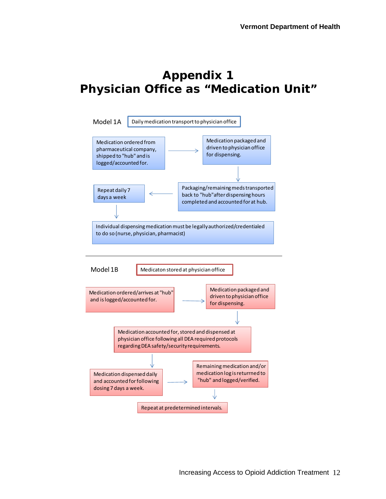## **Appendix 1 Physician Office as "Medication Unit"**

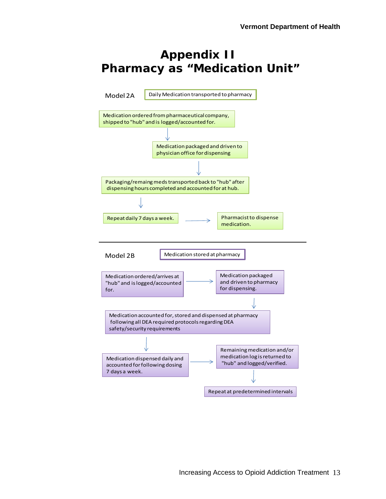## **Appendix II Pharmacy as "Medication Unit"**